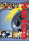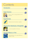

## Introduction

## Quiet Heroine



a story in which a young girl performs an act of heroism

5

6

 $10$ 

8

8

### **Superheroes**



information about what makes a superhero

## The Further Adventures of Souperkid



a comic strip superhero to the rescue

## Special Effects on Film



inside information on how special effects are created on screen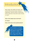# Introduction

Many people, both children and adults, enjoy stories which are about heroes, heroines or superheroes. There are heroes in almost every book we read and in every film we see, but what is a hero?

### **Does a hero always have to be brave?**

**Or strong?**

**Does a hero have to have special powers?**



**In this booklet you will have a chance to find out something about heroes in fiction and superheroes in fantasy, as we take a look at what makes a hero on paper and on screen.**

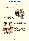### **Quiet Heroine**

*This story takes place in a forested region of the eastern USA. Lyddie, the eldest daughter, is preparing breakfast one morning.*

Lyddie looked up from the pot of oatmeal she was stirring over the fire, and there in the doorway was a massive black head, the nose up and smelling, the tiny eyes bright with hungry anticipation.

"Don't nobody yell," she said softly. "Just back up slow and quiet to the ladder and climb up to the loft. Charlie, you get Agnes, and Mama, you take Rachel." She heard her mother whimper. "Shhh," she continued, her voice absolutely even. "It's all right as long as nobody gets upset. Just take it nice and gentle. I'm watching him all the way, and I'll yank the ladder up after me."





They obeyed her, even Mama, though Lyddie could hear her sucking in her breath. Behind Lyddie's back, the ladder creaked, as two by two, first Charles and Agnes, then Mama and Rachel, climbed up into the loft. Lyddie glared straight into the bear's eyes, daring him to step forward into the cabin. Then when the ladder was silent and she could hear the slight rustling above her as the family settled themselves on the straw mattresses, she backed up to the ladder and, never taking her eyes off the bear, inched her way up to the loft. At the top she almost fell backward on to the platform. Charles dragged her on to the mattress beside her mother.

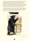The racket released the bear from the charm Lyddie seemed to have placed on him. He banged the door aside and rushed in toward the ladder, but Charles snatched it. The bottom rungs swung out, hitting the beast on the nose. The blow startled him momentarily, giving Lyddie a chance to help Charles haul the ladder up on to the platform and out of reach. The old bear roared in frustration and waved at the empty air with his huge paws, then reared up on his hind legs. He was so tall that his nose nearly touched the edge of the loft. The little girls cried out. Their mother screamed, "Oh my!"

"Hush," Lyddie commanded. "You'll just make him madder." The cries were swallowed up in anxious gasps of breath. Charles's arms went round the little ones, and Lyddie put a firm grip on her mother's shoulder. It was trembling, so Lyddie relaxed her fingers and began to stroke. "It's all right," she murmured. "He can't reach us."



From *Lyddie* by Katherine Paterson

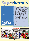# **Superheroes Superheroes**

**THE earliest superheroes appeared in comic books in the 1930s. Some of them such as Captain Marvel are less well known today but others from that era, Superman for example, are still with us. They appear in feature films, cartoons, on television, as well as in comics and a new type of fiction called 'graphic novels'. Such is their appeal that many of them – Batman, Superman and Wonder Woman, to name but three – are known throughout the world and their stories are told in many languages.**

**OF COURSE** superheroes may be popular all over the world, but that does not mean that everybody likes them. Some people argue that their adventures are far-fetched and unrealistic. They are accused of having a harmful influence on children who put themselves in danger by copying their heroes' impossible deeds. Others enjoy the stories for their excitement, suspense and escape from reality. Fans revel in knowing every detail about their superheroes: their individual powers, their intriguing costumes, their unique physical features – even their family backgrounds.

While fans may be interested in the detailed differences between these characters, there are certain features they have in common and which they have to possess in order to qualify as 'superheroes'.

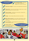### *SUPERHEROES must have:*



**extraordinary powers** – they may have the ability to appear and disappear, fly, or see with x-ray vision;

**courage** – they are always willing to take risks to save others; **a sense of justice** – they fight crime, never give in, always do the right thing for the good of others; **a sharp mind** – they must be quick thinkers to detect clues, to unravel mysteries and decide on the course of action; **superhuman strength** – they have to be exceptionally strong and fast; **a secret identity** – they lead double lives as part-time heroes, part-time ordinary humans; **a special costume** – they are recognised as superheroes by their unique outfits; **skills to take on any evil** – they are able to battle against a single individual, or a thousand, against humans, animals or enemies from another planet; *AND THEY ALWAYS TRIUMPH … ... in the end.*



**9**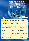# $\mathbb{G}$   $\mathbb{A}$   $\mathbb{I}$ ERI

# on **film**

**THE ACTORS** who play superheroes in films are just ordinary humans. Somehow film makers have to make them fly, appear or disappear and escape from all forms of danger in order to make their characters seem superhuman. A large team of technicians helps the director and camera crew in creating the various special effects used to give the impression that something extraordinary is taking place on screen. Flying, for example, is something we often see superheroes do and there are lots of ways to create the illusion that someone is flying. It can be done by simply suspending an actor from wires in front of a moving background; or it can be done by computer, which can be complicated and take much longer.

Reporter, **Jo Novak**, asked three technicians about the part they play in creating special effects. These are their answers to her questions.

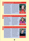**Q**

**A**

**Q**

**A**

### **How do actors survive the fires, explosions and other dangerous accidents in films?**

They don't! Only a stunt double like me can do that. Films would be very boring without the exciting scenes stunt doubles perform. The way it works is that I get made up and dressed to look like the main star. I do all the dangerous, exciting bits instead of the actor. You can't tell it's me because all my shots are filmed from a distance so that you never get a clear view of my face. I'm trained to make

sure that my life is never put at any risk, though. If I have to fall from an upstairs window, I wear padded body armour under my costume and land on soft crash mats to cushion my fall. Closeups of the star are added later, so the audience think she was the only one ever involved in the action. That's how actors are made to seem braver than they really are!



**Molly Lerner, stunt double**

### **How do actors change from ordinary humans into superheroes, monsters or even aliens?**

**A** That's what we call<br>morphing – transforming one image into another. Before computers, this was a lengthy process that involved gradually altering an actor's make-up and filming each new look after each make-up change. My most complex project required 15 applications of make-up. Now, a hi-tech

computer needs only two 'still' images – the actor before and after the change. These two photographs are all that is needed by the computer program to generate all the stages in between, blending them so smoothly that you believe the transformation is happening before your very eyes.



**Hema Aslam, make-up artist**

#### **Q How do you make the bangs, crashes and other sound effects?**

My job, as part of the sound crew, starts when the filming is finished. We work on the actors' dialogue, the music and all the splats, bangs and crashes you get in action films. We create most sounds artificially, record them and add them at this late stage. A lot of our work is still done without computers. You'd never guess, but the scrunching sound of footsteps in snow is

made by squeezing custard powder inside a rubber glove; the sound of crackling fire is made by rustling paper. On the other hand, we produce roars, explosions and the thud … thud … thud of a heartbeat electronically, using a synthesizer. This sound is stored on a computer and called up when needed to fit the film. **Darren Hughes,** 



**sound technician**